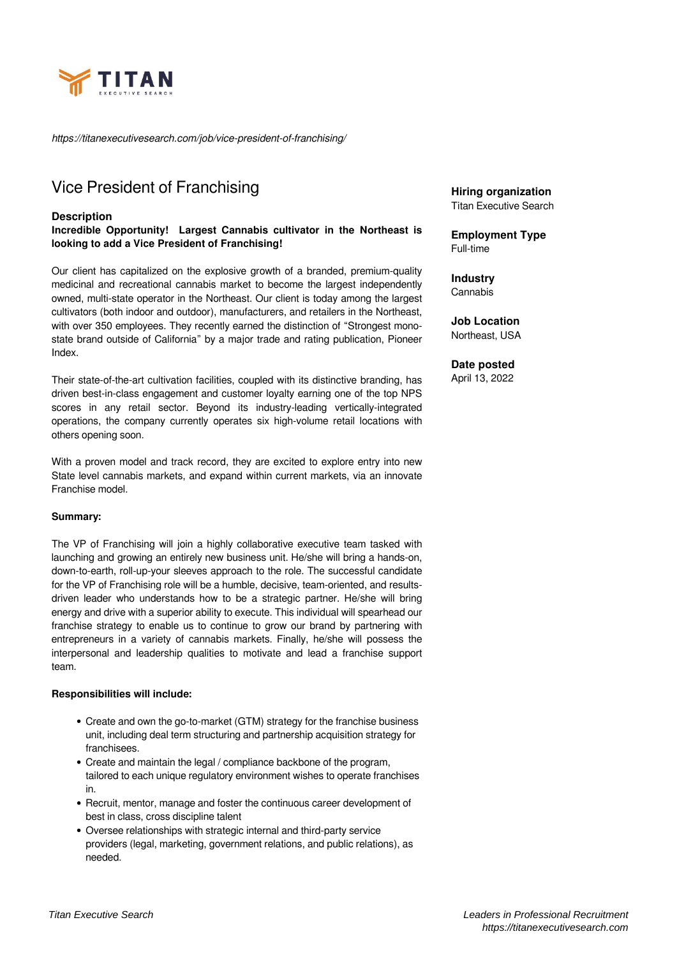

*https://titanexecutivesearch.com/job/vice-president-of-franchising/*

# Vice President of Franchising

#### **Description**

**Incredible Opportunity! Largest Cannabis cultivator in the Northeast is looking to add a Vice President of Franchising!**

Our client has capitalized on the explosive growth of a branded, premium-quality medicinal and recreational cannabis market to become the largest independently owned, multi-state operator in the Northeast. Our client is today among the largest cultivators (both indoor and outdoor), manufacturers, and retailers in the Northeast, with over 350 employees. They recently earned the distinction of "Strongest monostate brand outside of California" by a major trade and rating publication, Pioneer Index.

Their state-of-the-art cultivation facilities, coupled with its distinctive branding, has driven best-in-class engagement and customer loyalty earning one of the top NPS scores in any retail sector. Beyond its industry-leading vertically-integrated operations, the company currently operates six high-volume retail locations with others opening soon.

With a proven model and track record, they are excited to explore entry into new State level cannabis markets, and expand within current markets, via an innovate Franchise model.

#### **Summary:**

The VP of Franchising will join a highly collaborative executive team tasked with launching and growing an entirely new business unit. He/she will bring a hands-on, down-to-earth, roll-up-your sleeves approach to the role. The successful candidate for the VP of Franchising role will be a humble, decisive, team-oriented, and resultsdriven leader who understands how to be a strategic partner. He/she will bring energy and drive with a superior ability to execute. This individual will spearhead our franchise strategy to enable us to continue to grow our brand by partnering with entrepreneurs in a variety of cannabis markets. Finally, he/she will possess the interpersonal and leadership qualities to motivate and lead a franchise support team.

#### **Responsibilities will include:**

- Create and own the go-to-market (GTM) strategy for the franchise business unit, including deal term structuring and partnership acquisition strategy for franchisees.
- Create and maintain the legal / compliance backbone of the program, tailored to each unique regulatory environment wishes to operate franchises in.
- Recruit, mentor, manage and foster the continuous career development of best in class, cross discipline talent
- Oversee relationships with strategic internal and third-party service providers (legal, marketing, government relations, and public relations), as needed.

**Hiring organization** Titan Executive Search

**Employment Type** Full-time

**Industry** Cannabis

**Job Location** Northeast, USA

**Date posted** April 13, 2022